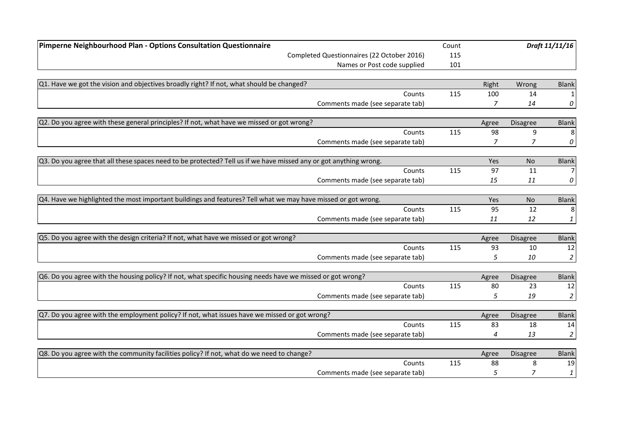| Pimperne Neighbourhood Plan - Options Consultation Questionnaire                                                  |     |                |                 | Draft 11/11/16 |
|-------------------------------------------------------------------------------------------------------------------|-----|----------------|-----------------|----------------|
| Completed Questionnaires (22 October 2016)                                                                        | 115 |                |                 |                |
| Names or Post code supplied                                                                                       | 101 |                |                 |                |
|                                                                                                                   |     |                |                 |                |
| $Q1$ . Have we got the vision and objectives broadly right? If not, what should be changed?                       |     | Right          | Wrong           | <b>Blank</b>   |
| Counts                                                                                                            | 115 | 100            | 14              |                |
| Comments made (see separate tab)                                                                                  |     | 7              | 14              | 0              |
| $Q2$ . Do you agree with these general principles? If not, what have we missed or got wrong?                      |     | Agree          | Disagree        | <b>Blank</b>   |
| Counts                                                                                                            | 115 | 98             | 9               | 8              |
| Comments made (see separate tab)                                                                                  |     | $\overline{7}$ | $\overline{z}$  | 0              |
| Q3. Do you agree that all these spaces need to be protected? Tell us if we have missed any or got anything wrong. |     | Yes            | <b>No</b>       | <b>Blank</b>   |
| Counts                                                                                                            | 115 | 97             | 11              |                |
| Comments made (see separate tab)                                                                                  |     | 15             | 11              | 0              |
| Q4. Have we highlighted the most important buildings and features? Tell what we may have missed or got wrong.     |     | Yes            | No              | <b>Blank</b>   |
| Counts                                                                                                            | 115 | 95             | 12              | 8              |
| Comments made (see separate tab)                                                                                  |     | 11             | 12              | 1              |
| Q5. Do you agree with the design criteria? If not, what have we missed or got wrong?                              |     | Agree          | <b>Disagree</b> | <b>Blank</b>   |
| Counts                                                                                                            | 115 | 93             | 10              | 12             |
| Comments made (see separate tab)                                                                                  |     | 5              | 10              | $\overline{2}$ |
| Q6. Do you agree with the housing policy? If not, what specific housing needs have we missed or got wrong?        |     | Agree          | <b>Disagree</b> | <b>Blank</b>   |
| Counts                                                                                                            | 115 | 80             | 23              | 12             |
| Comments made (see separate tab)                                                                                  |     | 5              | 19              | $\overline{a}$ |
| $Q$ 7. Do you agree with the employment policy? If not, what issues have we missed or got wrong?                  |     | Agree          | <b>Disagree</b> | <b>Blank</b>   |
| Counts                                                                                                            | 115 | 83             | 18              | 14             |
| Comments made (see separate tab)                                                                                  |     | 4              | 13              | 2              |
| Q8. Do you agree with the community facilities policy? If not, what do we need to change?                         |     | Agree          | <b>Disagree</b> | <b>Blank</b>   |
| Counts                                                                                                            | 115 | 88             | 8               | 19             |
| Comments made (see separate tab)                                                                                  |     | 5              | 7               | 1              |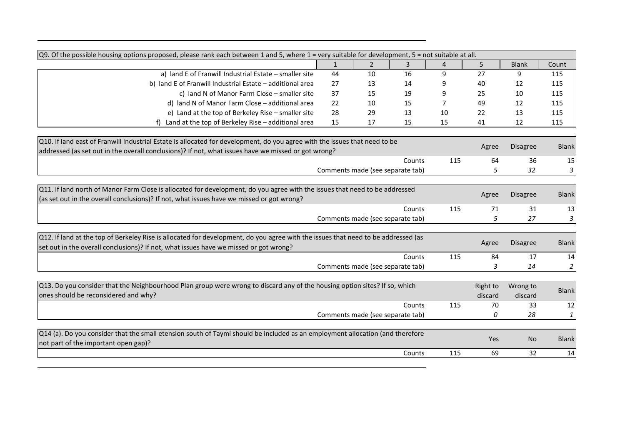| Q9. Of the possible housing options proposed, please rank each between 1 and 5, where 1 = very suitable for development, 5 = not suitable at all.<br>5<br>$\overline{2}$<br>3<br>$\overline{4}$<br>$\mathbf{1}$<br><b>Blank</b><br>Count<br>a) land E of Franwill Industrial Estate - smaller site<br>27<br>44<br>16<br>9<br>9<br>10<br>115<br>b) land E of Franwill Industrial Estate - additional area<br>27<br>115<br>13<br>14<br>40<br>12<br>c) land N of Manor Farm Close - smaller site<br>37<br>115<br>15<br>19<br>25<br>10<br>9<br>d) land N of Manor Farm Close - additional area<br>22<br>49<br>115<br>10<br>15<br>7<br>12<br>e) Land at the top of Berkeley Rise - smaller site<br>28<br>29<br>13<br>22<br>13<br>115<br>10<br>f) Land at the top of Berkeley Rise - additional area<br>15<br>17<br>15<br>15<br>41<br>12<br>115<br>Q10. If land east of Franwill Industrial Estate is allocated for development, do you agree with the issues that need to be<br><b>Blank</b><br><b>Disagree</b><br>Agree<br>addressed (as set out in the overall conclusions)? If not, what issues have we missed or got wrong?<br>115<br>64<br>36<br>15<br>Counts<br>Comments made (see separate tab)<br>3<br>5<br>32<br>Q11. If land north of Manor Farm Close is allocated for development, do you agree with the issues that need to be addressed<br><b>Blank</b><br><b>Disagree</b><br>Agree<br>(as set out in the overall conclusions)? If not, what issues have we missed or got wrong?<br>115<br>71<br>31<br>13<br>Counts<br>5<br>Comments made (see separate tab)<br>27<br>3<br>Q12. If land at the top of Berkeley Rise is allocated for development, do you agree with the issues that need to be addressed (as |
|-----------------------------------------------------------------------------------------------------------------------------------------------------------------------------------------------------------------------------------------------------------------------------------------------------------------------------------------------------------------------------------------------------------------------------------------------------------------------------------------------------------------------------------------------------------------------------------------------------------------------------------------------------------------------------------------------------------------------------------------------------------------------------------------------------------------------------------------------------------------------------------------------------------------------------------------------------------------------------------------------------------------------------------------------------------------------------------------------------------------------------------------------------------------------------------------------------------------------------------------------------------------------------------------------------------------------------------------------------------------------------------------------------------------------------------------------------------------------------------------------------------------------------------------------------------------------------------------------------------------------------------------------------------------------------------------------------------------------|
|                                                                                                                                                                                                                                                                                                                                                                                                                                                                                                                                                                                                                                                                                                                                                                                                                                                                                                                                                                                                                                                                                                                                                                                                                                                                                                                                                                                                                                                                                                                                                                                                                                                                                                                       |
|                                                                                                                                                                                                                                                                                                                                                                                                                                                                                                                                                                                                                                                                                                                                                                                                                                                                                                                                                                                                                                                                                                                                                                                                                                                                                                                                                                                                                                                                                                                                                                                                                                                                                                                       |
|                                                                                                                                                                                                                                                                                                                                                                                                                                                                                                                                                                                                                                                                                                                                                                                                                                                                                                                                                                                                                                                                                                                                                                                                                                                                                                                                                                                                                                                                                                                                                                                                                                                                                                                       |
|                                                                                                                                                                                                                                                                                                                                                                                                                                                                                                                                                                                                                                                                                                                                                                                                                                                                                                                                                                                                                                                                                                                                                                                                                                                                                                                                                                                                                                                                                                                                                                                                                                                                                                                       |
|                                                                                                                                                                                                                                                                                                                                                                                                                                                                                                                                                                                                                                                                                                                                                                                                                                                                                                                                                                                                                                                                                                                                                                                                                                                                                                                                                                                                                                                                                                                                                                                                                                                                                                                       |
|                                                                                                                                                                                                                                                                                                                                                                                                                                                                                                                                                                                                                                                                                                                                                                                                                                                                                                                                                                                                                                                                                                                                                                                                                                                                                                                                                                                                                                                                                                                                                                                                                                                                                                                       |
|                                                                                                                                                                                                                                                                                                                                                                                                                                                                                                                                                                                                                                                                                                                                                                                                                                                                                                                                                                                                                                                                                                                                                                                                                                                                                                                                                                                                                                                                                                                                                                                                                                                                                                                       |
|                                                                                                                                                                                                                                                                                                                                                                                                                                                                                                                                                                                                                                                                                                                                                                                                                                                                                                                                                                                                                                                                                                                                                                                                                                                                                                                                                                                                                                                                                                                                                                                                                                                                                                                       |
|                                                                                                                                                                                                                                                                                                                                                                                                                                                                                                                                                                                                                                                                                                                                                                                                                                                                                                                                                                                                                                                                                                                                                                                                                                                                                                                                                                                                                                                                                                                                                                                                                                                                                                                       |
|                                                                                                                                                                                                                                                                                                                                                                                                                                                                                                                                                                                                                                                                                                                                                                                                                                                                                                                                                                                                                                                                                                                                                                                                                                                                                                                                                                                                                                                                                                                                                                                                                                                                                                                       |
|                                                                                                                                                                                                                                                                                                                                                                                                                                                                                                                                                                                                                                                                                                                                                                                                                                                                                                                                                                                                                                                                                                                                                                                                                                                                                                                                                                                                                                                                                                                                                                                                                                                                                                                       |
|                                                                                                                                                                                                                                                                                                                                                                                                                                                                                                                                                                                                                                                                                                                                                                                                                                                                                                                                                                                                                                                                                                                                                                                                                                                                                                                                                                                                                                                                                                                                                                                                                                                                                                                       |
|                                                                                                                                                                                                                                                                                                                                                                                                                                                                                                                                                                                                                                                                                                                                                                                                                                                                                                                                                                                                                                                                                                                                                                                                                                                                                                                                                                                                                                                                                                                                                                                                                                                                                                                       |
|                                                                                                                                                                                                                                                                                                                                                                                                                                                                                                                                                                                                                                                                                                                                                                                                                                                                                                                                                                                                                                                                                                                                                                                                                                                                                                                                                                                                                                                                                                                                                                                                                                                                                                                       |
|                                                                                                                                                                                                                                                                                                                                                                                                                                                                                                                                                                                                                                                                                                                                                                                                                                                                                                                                                                                                                                                                                                                                                                                                                                                                                                                                                                                                                                                                                                                                                                                                                                                                                                                       |
| <b>Blank</b><br><b>Disagree</b><br>Agree<br>set out in the overall conclusions)? If not, what issues have we missed or got wrong?                                                                                                                                                                                                                                                                                                                                                                                                                                                                                                                                                                                                                                                                                                                                                                                                                                                                                                                                                                                                                                                                                                                                                                                                                                                                                                                                                                                                                                                                                                                                                                                     |
| 115<br>17<br>14<br>Counts<br>84                                                                                                                                                                                                                                                                                                                                                                                                                                                                                                                                                                                                                                                                                                                                                                                                                                                                                                                                                                                                                                                                                                                                                                                                                                                                                                                                                                                                                                                                                                                                                                                                                                                                                       |
| 2<br>Comments made (see separate tab)<br>3<br>14                                                                                                                                                                                                                                                                                                                                                                                                                                                                                                                                                                                                                                                                                                                                                                                                                                                                                                                                                                                                                                                                                                                                                                                                                                                                                                                                                                                                                                                                                                                                                                                                                                                                      |
| Q13. Do you consider that the Neighbourhood Plan group were wrong to discard any of the housing option sites? If so, which<br>Right to<br>Wrong to<br><b>Blank</b><br>ones should be reconsidered and why?<br>discard<br>discard                                                                                                                                                                                                                                                                                                                                                                                                                                                                                                                                                                                                                                                                                                                                                                                                                                                                                                                                                                                                                                                                                                                                                                                                                                                                                                                                                                                                                                                                                      |
| 70<br>33<br>12<br>Counts<br>115                                                                                                                                                                                                                                                                                                                                                                                                                                                                                                                                                                                                                                                                                                                                                                                                                                                                                                                                                                                                                                                                                                                                                                                                                                                                                                                                                                                                                                                                                                                                                                                                                                                                                       |
| Comments made (see separate tab)<br>0<br>28<br>$\mathbf{1}$                                                                                                                                                                                                                                                                                                                                                                                                                                                                                                                                                                                                                                                                                                                                                                                                                                                                                                                                                                                                                                                                                                                                                                                                                                                                                                                                                                                                                                                                                                                                                                                                                                                           |
| $Q14$ (a). Do you consider that the small etension south of Taymi should be included as an employment allocation (and therefore<br>Yes<br><b>Blank</b><br><b>No</b><br>not part of the important open gap)?                                                                                                                                                                                                                                                                                                                                                                                                                                                                                                                                                                                                                                                                                                                                                                                                                                                                                                                                                                                                                                                                                                                                                                                                                                                                                                                                                                                                                                                                                                           |
| 69<br>32<br>14<br>Counts<br>115                                                                                                                                                                                                                                                                                                                                                                                                                                                                                                                                                                                                                                                                                                                                                                                                                                                                                                                                                                                                                                                                                                                                                                                                                                                                                                                                                                                                                                                                                                                                                                                                                                                                                       |